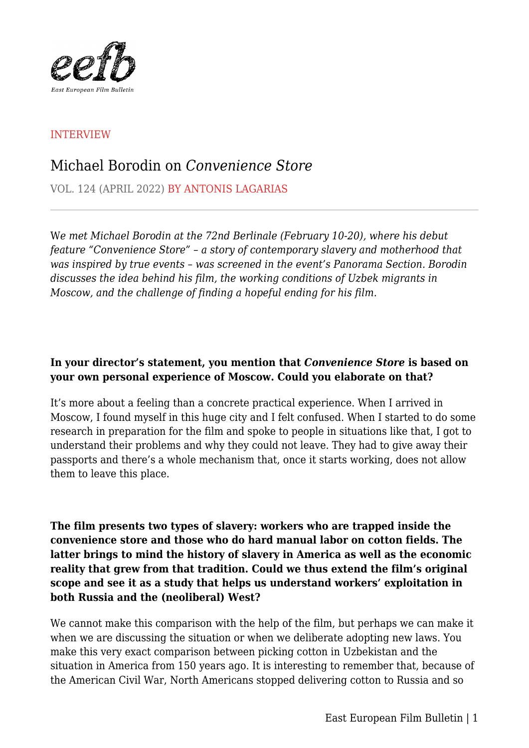

# INTERVIEW

# Michael Borodin on *Convenience Store*

VOL. 124 (APRIL 2022) BY ANTONIS LAGARIAS

W*e met Michael Borodin at the 72nd Berlinale (February 10-20), where his debut feature "Convenience Store" – a story of contemporary slavery and motherhood that was inspired by true events – was screened in the event's Panorama Section. Borodin discusses the idea behind his film, the working conditions of Uzbek migrants in Moscow, and the challenge of finding a hopeful ending for his film.*

## **In your director's statement, you mention that** *Convenience Store* **is based on your own personal experience of Moscow. Could you elaborate on that?**

It's more about a feeling than a concrete practical experience. When I arrived in Moscow, I found myself in this huge city and I felt confused. When I started to do some research in preparation for the film and spoke to people in situations like that, I got to understand their problems and why they could not leave. They had to give away their passports and there's a whole mechanism that, once it starts working, does not allow them to leave this place.

**The film presents two types of slavery: workers who are trapped inside the convenience store and those who do hard manual labor on cotton fields. The latter brings to mind the history of slavery in America as well as the economic reality that grew from that tradition. Could we thus extend the film's original scope and see it as a study that helps us understand workers' exploitation in both Russia and the (neoliberal) West?**

We cannot make this comparison with the help of the film, but perhaps we can make it when we are discussing the situation or when we deliberate adopting new laws. You make this very exact comparison between picking cotton in Uzbekistan and the situation in America from 150 years ago. It is interesting to remember that, because of the American Civil War, North Americans stopped delivering cotton to Russia and so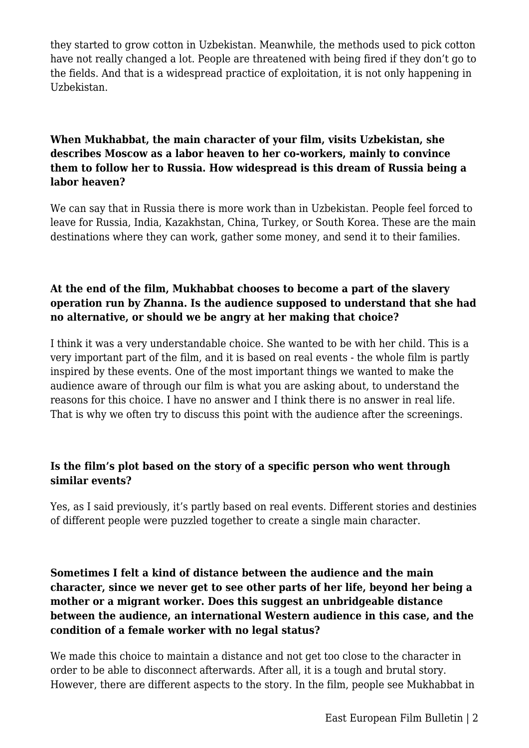they started to grow cotton in Uzbekistan. Meanwhile, the methods used to pick cotton have not really changed a lot. People are threatened with being fired if they don't go to the fields. And that is a widespread practice of exploitation, it is not only happening in Uzbekistan.

# **When Mukhabbat, the main character of your film, visits Uzbekistan, she describes Moscow as a labor heaven to her co-workers, mainly to convince them to follow her to Russia. How widespread is this dream of Russia being a labor heaven?**

We can say that in Russia there is more work than in Uzbekistan. People feel forced to leave for Russia, India, Kazakhstan, China, Turkey, or South Korea. These are the main destinations where they can work, gather some money, and send it to their families.

# **At the end of the film, Mukhabbat chooses to become a part of the slavery operation run by Zhanna. Is the audience supposed to understand that she had no alternative, or should we be angry at her making that choice?**

I think it was a very understandable choice. She wanted to be with her child. This is a very important part of the film, and it is based on real events - the whole film is partly inspired by these events. One of the most important things we wanted to make the audience aware of through our film is what you are asking about, to understand the reasons for this choice. I have no answer and I think there is no answer in real life. That is why we often try to discuss this point with the audience after the screenings.

# **Is the film's plot based on the story of a specific person who went through similar events?**

Yes, as I said previously, it's partly based on real events. Different stories and destinies of different people were puzzled together to create a single main character.

# **Sometimes I felt a kind of distance between the audience and the main character, since we never get to see other parts of her life, beyond her being a mother or a migrant worker. Does this suggest an unbridgeable distance between the audience, an international Western audience in this case, and the condition of a female worker with no legal status?**

We made this choice to maintain a distance and not get too close to the character in order to be able to disconnect afterwards. After all, it is a tough and brutal story. However, there are different aspects to the story. In the film, people see Mukhabbat in